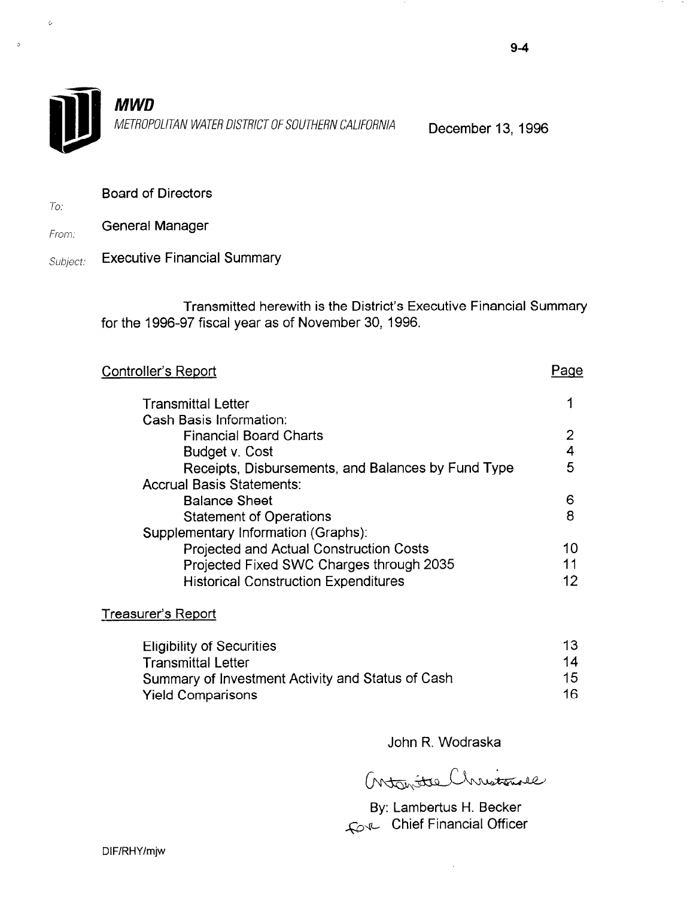

Board of Directors

TO.

 $\zeta_t$ 

 $\ddot{\circ}$ 

From: General Manager

**Subject:** Executive Financial Summary

Transmitted herewith is the District's Executive Financial Summary for the 1996-97 fiscal year as of November 30, 1996.

| Controller's Report                                | aae ' |
|----------------------------------------------------|-------|
| Transmittal Letter                                 | 1     |
| Cash Basis Information:                            |       |
| <b>Financial Board Charts</b>                      | 2     |
| Budget v. Cost                                     | 4     |
| Receipts, Disbursements, and Balances by Fund Type | 5     |
| <b>Accrual Basis Statements:</b>                   |       |
| <b>Balance Sheet</b>                               | 6     |
| <b>Statement of Operations</b>                     | 8     |
| Supplementary Information (Graphs):                |       |
| <b>Projected and Actual Construction Costs</b>     | 10    |
| Projected Fixed SWC Charges through 2035           |       |
| <b>Historical Construction Expenditures</b>        | 12    |
|                                                    |       |

## Treasurer's Report

| <b>Eligibility of Securities</b>                  | 13 |
|---------------------------------------------------|----|
| Transmittal Letter                                | 14 |
| Summary of Investment Activity and Status of Cash | 15 |
| Yield Comparisons                                 | 16 |

John R. Wodraska

Contante Christonne

By: Lambertus H. Becker ~6 Chief Financial Officer

9-4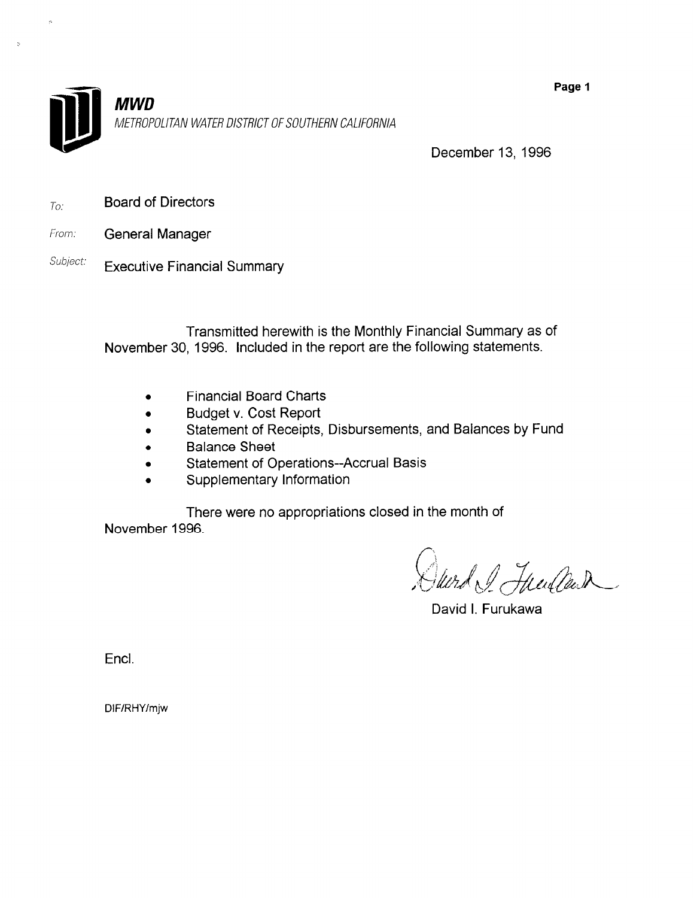



December 13, 1996

 $T_{\text{O}}$ : Board of Directors

- From: **General Manager**
- **Subject:** Executive Financial Summary

Transmitted herewith is the Monthly Financial Summary as of November 30, 1996. Included in the report are the following statements.

- <sup>0</sup>Financial Board Charts
- Budget v. Cost Report
- Statement of Receipts, Disbursements, and Balances by Fund
- **Balance Sheet**
- Statement of Operations--Accrual Basis
- Supplementary Information

There were no appropriations closed in the month of November 1996.

Surd I Heulan

Encl.

DIF/RHY/mjw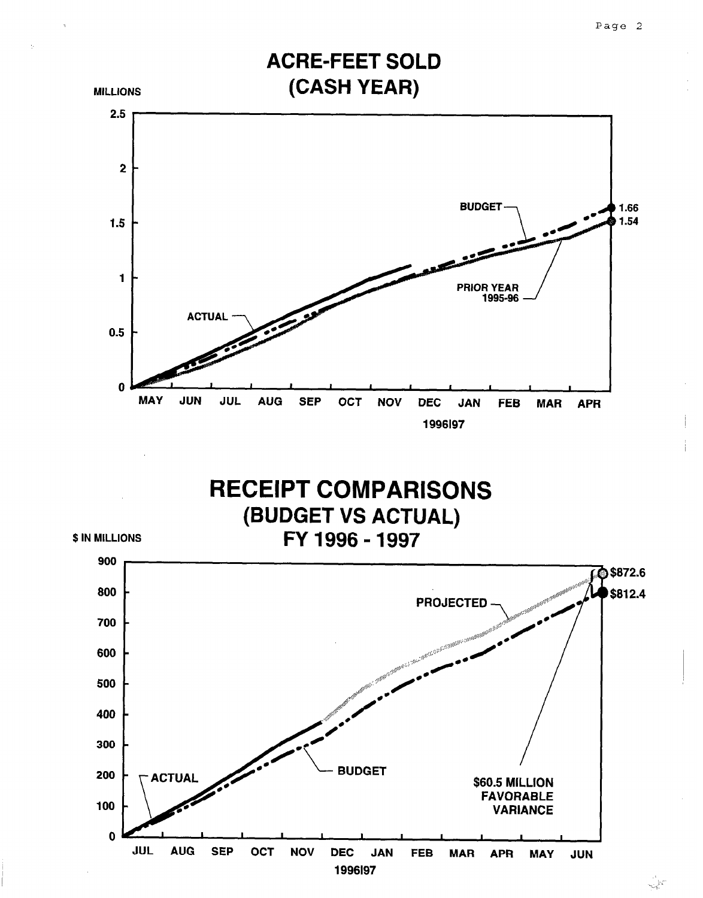



Page 2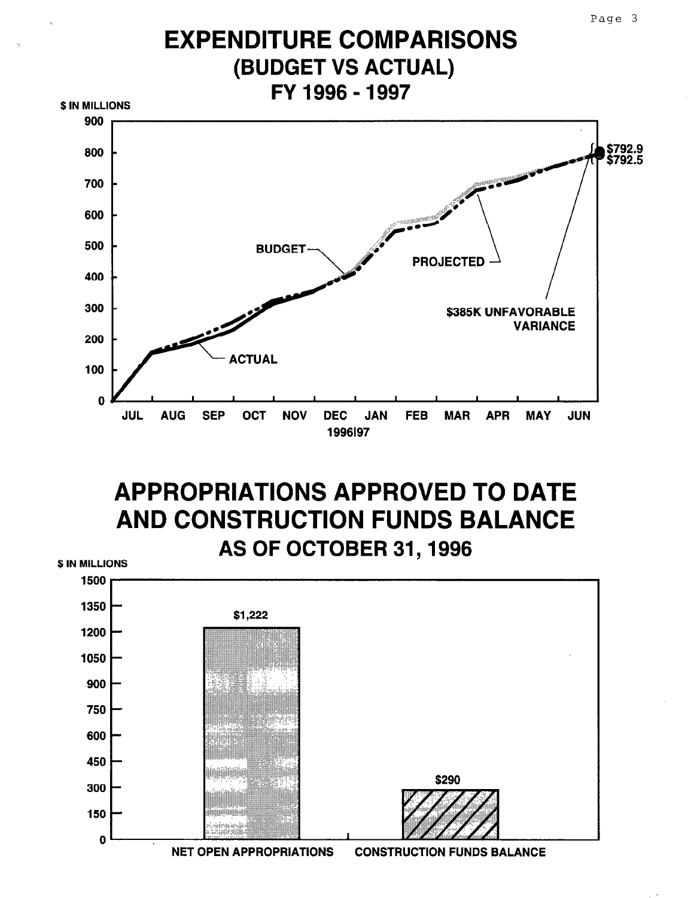Page 3



# APPROPRIATIONS APPROVED TO DATE AND CONSTRUCTION FUNDS BALANCE AS OF OCTOBER 31,1996

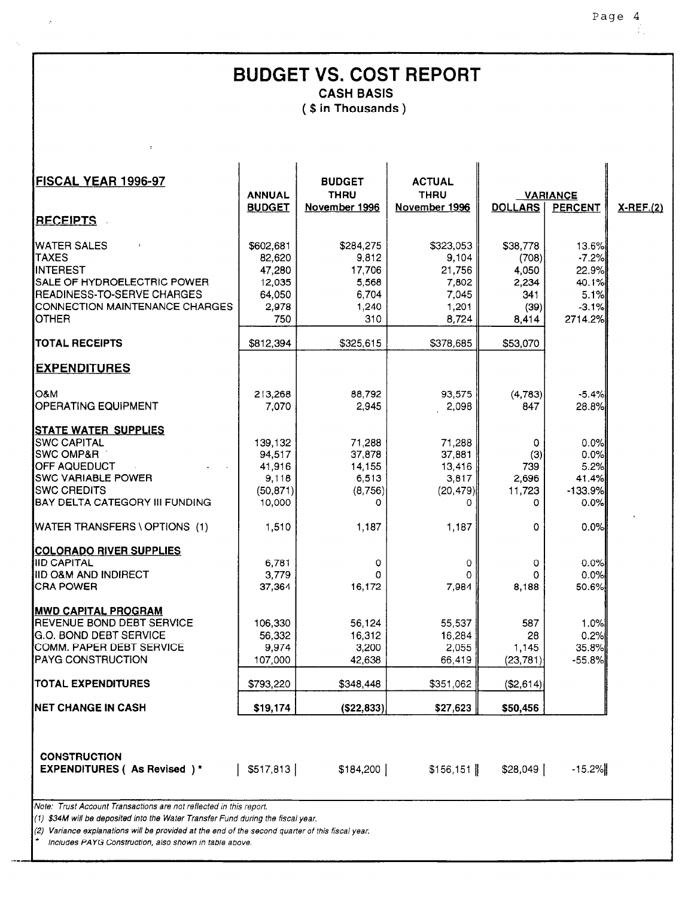## **BUDGET VS. COST REPORT CASH BASIS**

(\$in Thousands)

|                                                                     | <b>ANNUAL</b><br><b>BUDGET</b>           | <b>BUDGET</b><br><b>THRU</b><br>November 1996 | <b>ACTUAL</b><br><b>THRU</b><br>November 1996 | <b>DOLLARS</b> | <b>VARIANCE</b><br><b>PERCENT</b> | $X-REF.(2)$ |
|---------------------------------------------------------------------|------------------------------------------|-----------------------------------------------|-----------------------------------------------|----------------|-----------------------------------|-------------|
| <b>RECEIPTS</b>                                                     |                                          |                                               |                                               |                |                                   |             |
| <b>WATER SALES</b>                                                  | \$602,681                                | \$284,275                                     | \$323,053                                     | \$38,778       | 13.6%                             |             |
| <b>TAXES</b>                                                        | 82,620                                   | 9,812                                         | 9,104                                         | (708)          | $-7.2%$                           |             |
| <b>INTEREST</b>                                                     | 47,280                                   | 17,706                                        | 21,756                                        | 4,050          | 22.9%                             |             |
| <b>ISALE OF HYDROELECTRIC POWER</b>                                 | 12,035                                   | 5,568                                         | 7,802                                         | 2,234          | 40.1%                             |             |
| <b>READINESS-TO-SERVE CHARGES</b><br>CONNECTION MAINTENANCE CHARGES | 64,050<br>2,978                          | 6,704<br>1,240                                | 7,045<br>1,201                                | 341<br>(39)    | 5.1%<br>$-3.1%$                   |             |
| <b>OTHER</b>                                                        | 750                                      | 310                                           | 8,724                                         | 8,414          | 2714.2%                           |             |
| <b>TOTAL RECEIPTS</b>                                               | \$812,394                                | \$325,615                                     | \$378,685                                     | \$53,070       |                                   |             |
| <b>EXPENDITURES</b>                                                 |                                          |                                               |                                               |                |                                   |             |
| O&M                                                                 | 213,268                                  | 88,792                                        | 93,575                                        | (4,783)        | $-5.4%$                           |             |
| <b>OPERATING EQUIPMENT</b>                                          | 7,070                                    | 2,945                                         | 2,098                                         | 847            | 28.8%                             |             |
| <u>STATE WATER SUPPLIES</u>                                         |                                          |                                               |                                               |                |                                   |             |
| <b>SWC CAPITAL</b>                                                  | 139,132                                  | 71,288                                        | 71,288                                        | 0              | 0.0%                              |             |
| <b>SWC OMP&amp;R</b>                                                | 94,517                                   | 37,878                                        | 37,881                                        | (3)            | 0.0%                              |             |
| <b>OFF AQUEDUCT</b>                                                 | 41,916                                   | 14,155                                        | 13,416                                        | 739            | 5.2%                              |             |
| <b>SWC VARIABLE POWER</b>                                           | 9,118                                    | 6,513                                         | 3,817                                         | 2,696          | 41.4%                             |             |
| <b>SWC CREDITS</b>                                                  | (50, 871)                                | (8,756)                                       | (20, 479)                                     | 11,723         | $-133.9%$                         |             |
| <b>BAY DELTA CATEGORY III FUNDING</b>                               | 10,000                                   | 0                                             | 0                                             | Ω              | 0.0%                              |             |
| <b>WATER TRANSFERS \ OPTIONS (1)</b>                                | 1,510                                    | 1,187                                         | 1,187                                         | 0              | 0.0%                              |             |
| <b>COLORADO RIVER SUPPLIES</b>                                      |                                          |                                               |                                               |                |                                   |             |
| <b>IID CAPITAL</b>                                                  | 6,781                                    | 0                                             | 0                                             | 0              | 0.0%                              |             |
| <b>IID O&amp;M AND INDIRECT</b>                                     | 3,779                                    | $\Omega$                                      | 0                                             | 0              | 0.0%                              |             |
| <b>CRA POWER</b>                                                    | 37,364                                   | 16,172                                        | 7,984                                         | 8,188          | 50.6%                             |             |
| <b>MWD CAPITAL PROGRAM</b>                                          |                                          |                                               |                                               |                |                                   |             |
| <b>REVENUE BOND DEBT SERVICE</b>                                    | 106,330                                  | 56,124                                        | 55,537                                        | 587            | 1.0%                              |             |
| G.O. BOND DEBT SERVICE                                              | 56,332                                   | 16,312                                        | 16,284                                        | 28             | 0.2%                              |             |
| COMM. PAPER DEBT SERVICE<br>PAYG CONSTRUCTION                       | 9,974                                    | 3,200<br>42,638                               | 2,055                                         | 1,145          | 35.8%<br>$-55.8%$                 |             |
|                                                                     | 107,000                                  |                                               | 66,419                                        | (23,781)       |                                   |             |
| <b>TOTAL EXPENDITURES</b>                                           | \$793,220                                | \$348,448                                     | \$351,062                                     | (\$2,614)      |                                   |             |
| <b>NET CHANGE IN CASH</b>                                           | \$19,174                                 | (S22, 833)                                    | \$27,623                                      | \$50,456       |                                   |             |
| <b>CONSTRUCTION</b>                                                 |                                          |                                               |                                               |                |                                   |             |
| <b>EXPENDITURES (As Revised)*</b>                                   | $\begin{bmatrix} $517,813 \end{bmatrix}$ | \$184,200                                     | \$156, 151                                    | \$28,049       | $-15.2%$                          |             |

(1) \$34M will be deposited into the Water Transfer Fund during the fiscal year.

(2) Variance explanations will be provided at the end of the second quarter of this fiscal year.

Includes PAYG Construction, also shown in table above.

 $\ddot{\cdot}$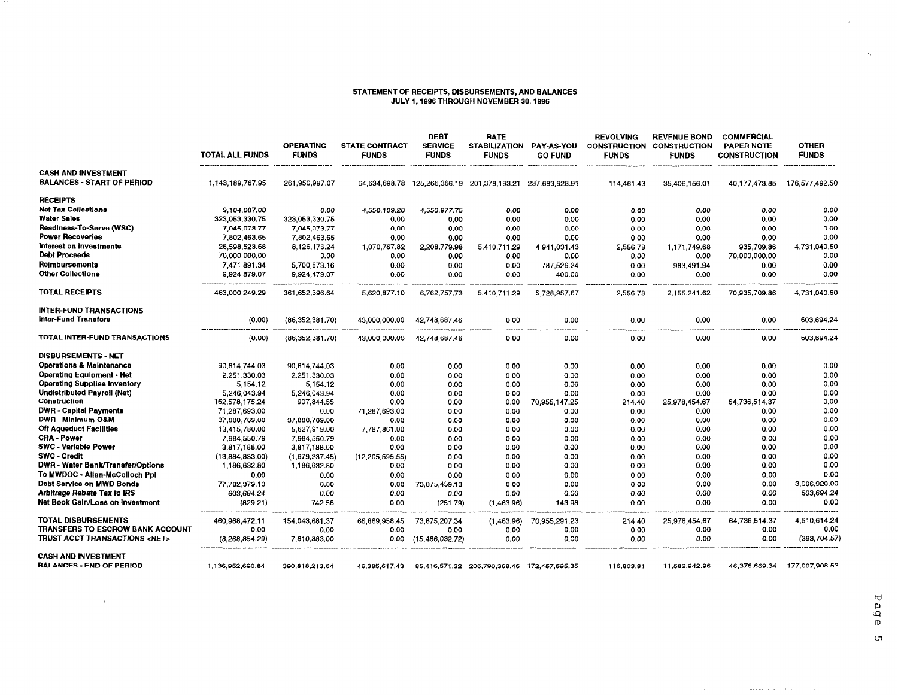#### STATEMENT OF RECEIPTS, DISBURSEMENTS, AND BALANC JULY I,1996 THROUGH NOVEMBER 30,1996

|                                                                 | <b>TOTAL ALL FUNDS</b>                                                                           | <b>OPERATING</b><br><b>FUNDS</b> | <b>STATE CONTRACT</b><br><b>FUNDS</b> | <b>DEBT</b><br><b>SERVICE</b><br><b>FUNDS</b> | <b>RATE</b><br>STABILIZATION PAY-AS-YOU<br><b>FUNDS</b> | <b>GO FUND</b> | <b>REVOLVING</b><br><b>FUNDS</b> | <b>REVENUE BOND</b><br>CONSTRUCTION CONSTRUCTION<br><b>FUNDS</b> | <b>COMMERCIAL</b><br><b>PAPER NOTE</b><br><b>CONSTRUCTION</b> | <b>OTHER</b><br><b>FUNDS</b> |  |  |  |  |
|-----------------------------------------------------------------|--------------------------------------------------------------------------------------------------|----------------------------------|---------------------------------------|-----------------------------------------------|---------------------------------------------------------|----------------|----------------------------------|------------------------------------------------------------------|---------------------------------------------------------------|------------------------------|--|--|--|--|
| <b>CASH AND INVESTMENT</b><br><b>BALANCES - START OF PERIOD</b> | 1,143,189,767.95                                                                                 | 261,950,997.07                   | 64.634.698.78                         |                                               | 125, 266, 366. 19 201, 378, 193. 21 237, 683, 928, 91   |                | 114,461.43                       | 35 406, 156.01                                                   | 40,177,473.85                                                 | 176,577,492.50               |  |  |  |  |
| <b>RECEIPTS</b>                                                 |                                                                                                  |                                  |                                       |                                               |                                                         |                |                                  |                                                                  |                                                               |                              |  |  |  |  |
| <b>Net Tax Collections</b>                                      | 9,104,087.03                                                                                     | 0.00                             | 4,550,109.28                          | 4.553.977.75                                  | 0.00                                                    | 0.00           | 0.00                             | 0.00                                                             | 0.00                                                          | 0.00                         |  |  |  |  |
| <b>Water Sales</b>                                              | 323,053,330.75                                                                                   | 323.053.330.75                   | 0,00                                  | 0.00                                          | 0.00                                                    | 0.00           | 0.00                             | 0.00                                                             | 0.00                                                          | 0.00                         |  |  |  |  |
| Readiness-To-Serve (WSC)                                        | 7,045,073.77                                                                                     | 7,045,073.77                     | 0.00                                  | 0.00                                          | 0.00                                                    | 0.00           | 0.00                             | 0.00                                                             | 0.00                                                          | 0.00                         |  |  |  |  |
| <b>Power Recoveries</b>                                         | 7,802,463.65                                                                                     | 7,802,463.65                     | 0.00                                  | 0.00                                          | 0.00                                                    | 0.00           | 0.00                             | 0.00                                                             | 0.00                                                          | 0.00                         |  |  |  |  |
| Interest on Investments                                         | 28,598,523.68                                                                                    | 8,126,176.24                     | 1,070,767.82                          | 2,208,779.98                                  | 5,410,711.29                                            | 4 941 031 43   | 2,556.78                         | 1.171.749.68                                                     | 935,709.86                                                    | 4.731.040.60                 |  |  |  |  |
| Debt Proceeds                                                   | 70,000,000.00                                                                                    | 0.00                             | 0.00                                  | 0.00                                          | 0.00                                                    | 0.00           | 0.00                             | 0.00                                                             | 70,000,000.00                                                 | 0.00                         |  |  |  |  |
| Reimbursements                                                  | 7,471,891.34                                                                                     | 5,700,873.16                     | 0.00                                  | 0.00                                          | 0.00                                                    | 787.526.24     | 0.00                             | 983.491.94                                                       | 0.00                                                          | 0.00                         |  |  |  |  |
| <b>Other Collections</b>                                        | 9,924,879.07                                                                                     | 9,924,479.07                     | 0.00                                  | 0.00                                          | 0.00                                                    | 400.00         | 0.00                             | 0.00                                                             | 0.00                                                          | 0.00                         |  |  |  |  |
| TOTAL RECEIPTS                                                  | 463.000.249.29<br>361 652 396 64<br>5,620,877.10<br>6,762,757.73<br>5.410.711.29<br>5.728.957.67 |                                  |                                       |                                               |                                                         |                |                                  | 2,155,241.62                                                     | 70,935,709.86                                                 | 4,731,040.60                 |  |  |  |  |
| <b>INTER-FUND TRANSACTIONS</b>                                  |                                                                                                  |                                  |                                       |                                               |                                                         |                |                                  |                                                                  |                                                               |                              |  |  |  |  |
| Inter-Fund Transfers                                            | (0.00)                                                                                           | (86,352,381.70)                  | 43.000.000.00                         | 42.748.687.46                                 | 0.00                                                    | 0.00           | 0.00                             | 0.00                                                             | 0.00                                                          | 603.694.24                   |  |  |  |  |
| TOTAL INTER-FUND TRANSACTIONS                                   | (0.00)                                                                                           | (86,352,381.70)                  | 43,000,000.00                         | 42 748 687 46                                 | 0.00                                                    | 0.00           | 0.00                             | 0,00                                                             | 0.00                                                          | 603,694.24                   |  |  |  |  |
| <b>DISBURSEMENTS - NET</b>                                      |                                                                                                  |                                  |                                       |                                               |                                                         |                |                                  |                                                                  |                                                               |                              |  |  |  |  |
| <b>Operations &amp; Maintenance</b>                             | 90,814,744.03                                                                                    | 90,814,744.03                    | 0.00                                  | 0.00                                          | 0.00                                                    | 0.00           | 0.00                             | 0.00                                                             | 0.00                                                          | 0.00                         |  |  |  |  |
| <b>Operating Equipment - Net</b>                                | 2,251,330.03                                                                                     | 2,251,330.03                     | 0.00                                  | 0.00                                          | 0.00                                                    | 0.00           | 0,00                             | 0.00                                                             | 0.00                                                          | 0.00                         |  |  |  |  |
| Operating Supplies Inventory                                    | 5,154.12                                                                                         | 5,154.12                         | 0.00                                  | 0.00                                          | 0.00                                                    | 0,00           | 0.00                             | 0.00                                                             | 0.00                                                          | 0.00                         |  |  |  |  |
| Undistributed Payroll (Net)                                     | 5,246,043.94                                                                                     | 5,246,043.94                     | 0.00                                  | 0.00                                          | 0.00                                                    | 0.00           | 0.00                             | 0.00                                                             | 0.00                                                          | 0.00                         |  |  |  |  |
| Construction                                                    | 162.578.175.24                                                                                   | 907,844.55                       | 0.00                                  | 0.00                                          | 0.00                                                    | 70,955,147.25  | 214.40                           | 25,978,454.67                                                    | 64,736,514.37                                                 | 0,00                         |  |  |  |  |
| <b>DWR - Capital Payments</b>                                   | 71,287,693.00                                                                                    | 0.00                             | 71.287.693.00                         | 0.00                                          | 0,00                                                    | 0,00           | 0.00                             | 0.00                                                             | 0.00                                                          | 0.00                         |  |  |  |  |
| DWR - Minimum O&M                                               | 37,880,769,00                                                                                    | 37.880.769.00                    | 0.00                                  | 0.00                                          | 0.00                                                    | 0.00           | 0.00                             | 0.00                                                             | 0.00                                                          | 0.00                         |  |  |  |  |
| <b>Off Aqueduct Facilities</b>                                  | 13.415.780.00                                                                                    | 5,627,919.00                     | 7,787,861.00                          | 0.00                                          | 0.00                                                    | 0.00           | 0.00                             | 0.00                                                             | 0.00                                                          | 0.00                         |  |  |  |  |
| CRA - Power                                                     | 7,984,550.79                                                                                     | 7,984,550.79                     | 0.00                                  | 0.00                                          | 0.00                                                    | 0.00           | 0.00                             | 0.00                                                             | 0.00                                                          | 0.00                         |  |  |  |  |
| <b>SWC - Variable Power</b>                                     | 3817188.00                                                                                       | 3,817,188.00                     | 0.00                                  | 0.00                                          | 0.00                                                    | 0.00           | 0.00                             | 0.00                                                             | 0.00                                                          | 0.00                         |  |  |  |  |
| <b>SWC - Credit</b>                                             | (13,884,833.00)                                                                                  | (1,679,237.45)                   | (12, 205, 595, 55)                    | 0.00                                          | 0,00                                                    | 0,00           | 0.00                             | 0.00                                                             | 0.00                                                          | 0.00                         |  |  |  |  |
| <b>DWR - Water Bank/Transfer/Options</b>                        | 1.186,632.80                                                                                     | 1,186,632.80                     | 0.00                                  | 0.00                                          | 0.00                                                    | 0.00           | 0.00                             | 0.00                                                             | 0.00                                                          | 0.00                         |  |  |  |  |
| To MWDOC - Allen-McColloch Ppl                                  | 0.00                                                                                             | 0.00                             | 0.00                                  | 0.00                                          | 0.00                                                    | 0.00           | 0.00                             | 0.00                                                             | 0.00                                                          | 0.00                         |  |  |  |  |
| Debt Service on MWD Bonds                                       | 77.782.379.13                                                                                    | 0.00                             | 0.00                                  | 73,875,459.13                                 | 0.00                                                    | 0.00           | 0.00                             | 0.00                                                             | 0.00                                                          | 3,906,920.00                 |  |  |  |  |
| Arbitrage Rebate Tax to IRS                                     | 603,694.24                                                                                       | 0.00                             | 0.00                                  | 0.00                                          | 0.00                                                    | 0.00           | 0.00                             | 0.00                                                             | 0.00                                                          | 603,694.24                   |  |  |  |  |
| Net Book Gain/Loss on Investment                                | (829.21)                                                                                         | 742.56                           | 0.00                                  | (251.79)                                      | (1,463.96)                                              | 143.98         | 0.00                             | 0.00                                                             | 0.00                                                          | 0.00                         |  |  |  |  |
| TOTAL DISBURSEMENTS                                             | 460,968,472.11                                                                                   | 154,043,681.37                   | 66,869,958.45                         | 73,875,207.34                                 | (1,463.96)                                              | 70,955,291.23  | 214.40                           | 25,978,454.67                                                    | 64,736,514.37                                                 | 4.510.614.24                 |  |  |  |  |
| TRANSFERS TO ESCROW BANK ACCOUNT                                | 0.00                                                                                             | 0.00                             | 0.00                                  | 0,00                                          | 0.00                                                    | 0.00           | 0.00                             | 0.00                                                             | 0.00                                                          | 0.00                         |  |  |  |  |
| TRUST ACCT TRANSACTIONS <net></net>                             | (B.268.854.29)                                                                                   | 7.610.883.00                     | 0.00                                  | 0.00<br>(15, 486, 032, 72)<br>0.00<br>0.00    |                                                         | 0.00           | 0.00                             | (393, 704.57)                                                    |                                                               |                              |  |  |  |  |
| <b>CASH AND INVESTMENT</b><br><b>BALANCES - END OF PERIOD</b>   | 1,136,952,690.84                                                                                 | 390 818 213 64                   | 46.385.617.43                         |                                               | 85,416,571,32 206,790,368,46 172,457,595,35             |                | 116,803.81                       | 11.582.942.96                                                    | 46.376.669.34                                                 | 177.007.908.53               |  |  |  |  |

 $\sim 10^{-1}$ **Contractor**  الموارد المتمسون الم

 $\sim 10^{-1}$ 

 $\mathcal{A}^{\pm}$ 

 $\mathcal{L}_{\text{max}}$  . The matrix  $\mathcal{L}_{\text{max}}$ 

 $\sim 10^{-1}$ 

 $\sim$  1440  $\sim$  1440  $\sim$ 

 $\label{eq:reduced} \begin{split} \mathcal{L}_{\text{max}} = \mathcal{L}_{\text{max}} = \mathcal{L}_{\text{max}} \times \mathcal{L}_{\text{max}} \times \mathcal{L}_{\text{max}} \times \mathcal{L}_{\text{max}} \times \mathcal{L}_{\text{max}} \times \mathcal{L}_{\text{max}} \times \mathcal{L}_{\text{max}} \times \mathcal{L}_{\text{max}} \times \mathcal{L}_{\text{max}} \times \mathcal{L}_{\text{max}} \times \mathcal{L}_{\text{max}} \times \mathcal{L}_{\text{max}} \times \mathcal{L}_{\text{max}} \times \mathcal{L}_{\text{max}} \times \$ 

 $\sim$ 

 $\sim$   $\sim$ 

 $\mathcal{L}^{\mathcal{L}}$  . There is a set of  $\mathcal{L}^{\mathcal{L}}$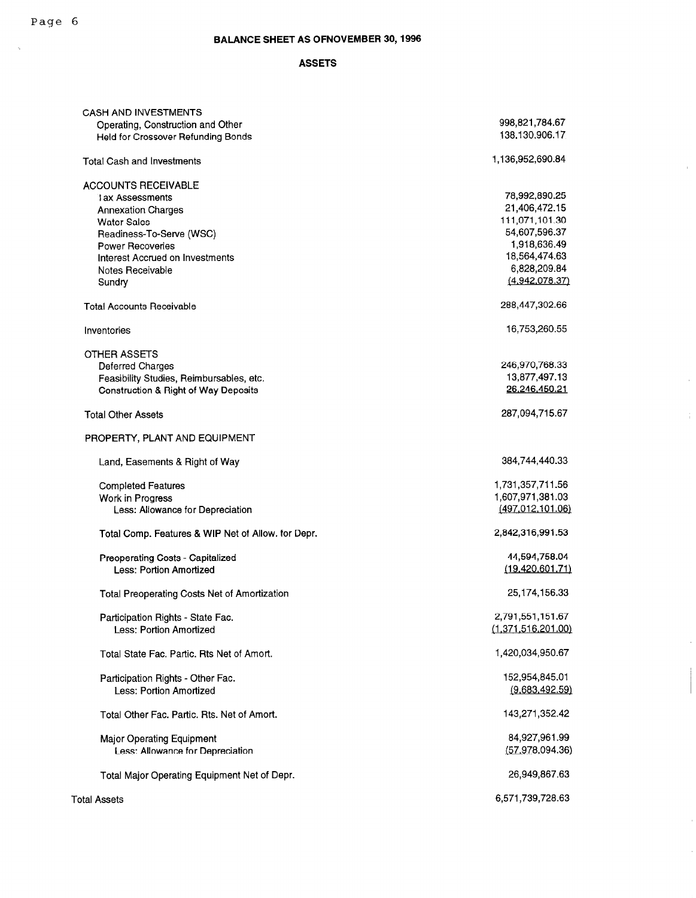## BALANCE SHEET AS OFNOVEMBER 30,1996

#### ASSETS

 $\bar{z}$ 

 $\bar{z}$ 

 $\frac{1}{4}$ 

 $\bar{z}$ 

| <b>CASH AND INVESTMENTS</b>                         |                    |
|-----------------------------------------------------|--------------------|
| Operating, Construction and Other                   | 998,821,784.67     |
| Held for Crossover Refunding Bonds                  | 138,130,906.17     |
| <b>Total Cash and Investments</b>                   | 1,136,952,690.84   |
| <b>ACCOUNTS RECEIVABLE</b>                          |                    |
| <b>Tax Assessments</b>                              | 78,992,890.25      |
| <b>Annexation Charges</b>                           | 21,406,472.15      |
| <b>Water Sales</b>                                  | 111,071,101.30     |
| Readiness-To-Serve (WSC)                            | 54,607,596.37      |
| Power Recoveries                                    | 1,918,636.49       |
| Interest Accrued on Investments                     | 18,564,474.63      |
| Notes Receivable                                    | 6,828,209.84       |
| Sundry                                              | (4.942.078.37)     |
| <b>Total Accounts Receivable</b>                    | 288,447,302.66     |
| Inventories                                         | 16,753,260.55      |
| OTHER ASSETS                                        |                    |
| <b>Deferred Charges</b>                             | 246,970,768.33     |
| Feasibility Studies, Reimbursables, etc.            | 13,877,497.13      |
| <b>Construction &amp; Right of Way Deposits</b>     | 26,246,450.21      |
|                                                     |                    |
| <b>Total Other Assets</b>                           | 287,094,715.67     |
| PROPERTY, PLANT AND EQUIPMENT                       |                    |
| Land, Easements & Right of Way                      | 384,744,440.33     |
| <b>Completed Features</b>                           | 1,731,357,711.56   |
| Work in Progress                                    | 1,607,971,381.03   |
| Less: Allowance for Depreciation                    | (497, 012, 101.06) |
| Total Comp. Features & WIP Net of Allow. for Depr.  | 2,842,316,991.53   |
| Preoperating Costs - Capitalized                    | 44,594,758.04      |
| Less: Portion Amortized                             | (19.420.601.71)    |
|                                                     |                    |
| <b>Total Preoperating Costs Net of Amortization</b> | 25, 174, 156.33    |
| Participation Rights - State Fac.                   | 2,791,551,151.67   |
| <b>Less: Portion Amortized</b>                      | (1,371,516,201.00) |
|                                                     |                    |
| Total State Fac. Partic. Rts Net of Amort.          | 1,420,034,950.67   |
| Participation Rights - Other Fac.                   | 152,954,845.01     |
| Less: Portion Amortized                             | (9,683,492.59)     |
|                                                     |                    |
| Total Other Fac. Partic. Rts. Net of Amort.         | 143,271,352.42     |
| Major Operating Equipment                           | 84,927,961.99      |
| Less: Allowance for Depreciation                    | (57,978,094.36)    |
|                                                     |                    |
| Total Major Operating Equipment Net of Depr.        | 26,949,867.63      |
| Total Assets                                        | 6,571,739,728.63   |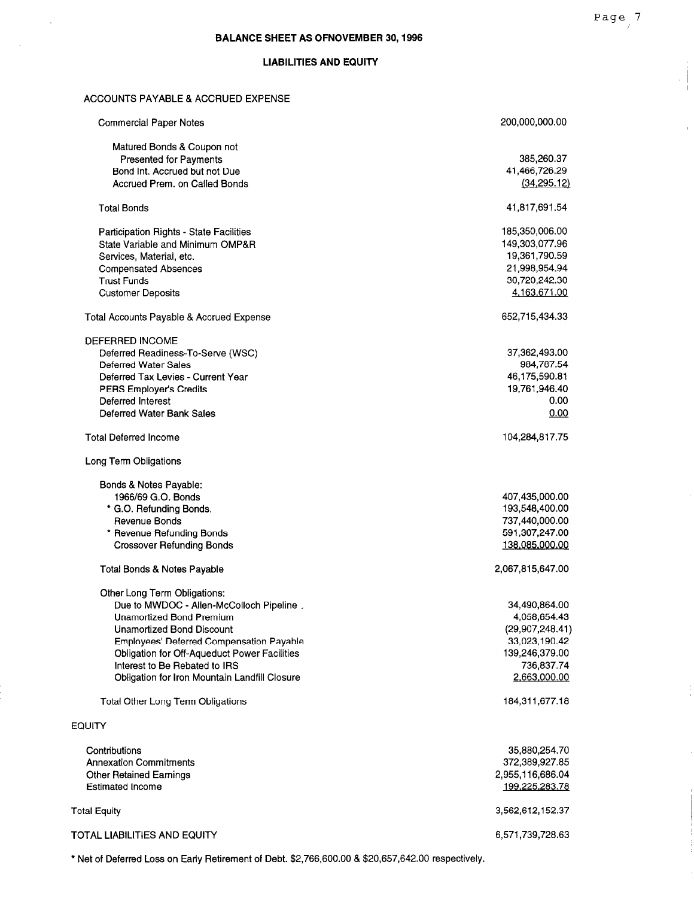$\begin{bmatrix} 1 \\ 1 \end{bmatrix}$ 

 $\overline{1}$ 

#### LIABILITIES AND EQUITY

#### ACCOUNTS PAYABLE & ACCRUED EXPENSE

 $\ddot{\phantom{a}}$ 

| <b>Commercial Paper Notes</b>                   | 200,000,000.00   |
|-------------------------------------------------|------------------|
| Matured Bonds & Coupon not                      |                  |
| <b>Presented for Payments</b>                   | 385,260.37       |
| Bond Int. Accrued but not Due                   | 41,466,726.29    |
| Accrued Prem. on Called Bonds                   | (34, 295, 12)    |
| <b>Total Bonds</b>                              | 41,817,691.54    |
| Participation Rights - State Facilities         | 185,350,006.00   |
| State Variable and Minimum OMP&R                | 149,303,077.96   |
| Services, Material, etc.                        | 19,361,790.59    |
| <b>Compensated Absences</b>                     | 21,998,954.94    |
| <b>Trust Funds</b>                              | 30,720,242.30    |
| <b>Customer Deposits</b>                        | 4.163.671.00     |
| Total Accounts Payable & Accrued Expense        | 652,715,434.33   |
| DEFERRED INCOME                                 |                  |
| Deferred Readiness-To-Serve (WSC)               | 37,362,493.00    |
| Deferred Water Sales                            | 984,787.54       |
| Deferred Tax Levies - Current Year              | 46,175,590.81    |
| <b>PERS Employer's Credits</b>                  | 19,761,946.40    |
| Deferred Interest                               | 0.00             |
| Deferred Water Bank Sales                       | 0.00             |
| <b>Total Deferred Income</b>                    | 104,284,817.75   |
| Long Term Obligations                           |                  |
| Bonds & Notes Payable:                          |                  |
| 1966/69 G.O. Bonds                              | 407,435,000.00   |
| * G.O. Refunding Bonds.                         | 193,548,400.00   |
| Revenue Bonds                                   | 737,440,000.00   |
| * Revenue Refunding Bonds                       | 591,307,247.00   |
| <b>Crossover Refunding Bonds</b>                | 138,085,000.00   |
| <b>Total Bonds &amp; Notes Payable</b>          | 2,067,815,647.00 |
| Other Long Term Obligations:                    |                  |
| Due to MWDOC - Allen-McColloch Pipeline.        | 34,490,864.00    |
| <b>Unamortized Bond Premium</b>                 | 4,058,654.43     |
| <b>Unamortized Bond Discount</b>                | (29,907,248.41)  |
| <b>Employees' Deferred Compensation Payable</b> | 33,023,190.42    |
| Obligation for Off-Aqueduct Power Facilities    | 139,246,379.00   |
| Interest to Be Rebated to IRS                   | 736,837.74       |
| Obligation for Iron Mountain Landfill Closure   | 2,663,000.00     |
| Total Other Long Term Obligations               | 184,311,677.18   |
| <b>EQUITY</b>                                   |                  |
| Contributions                                   | 35,880,254.70    |
| <b>Annexation Commitments</b>                   | 372,389,927.85   |
| <b>Other Retained Earnings</b>                  | 2,955,116,686.04 |
| <b>Estimated Income</b>                         | 199,225,283.78   |
| <b>Total Equity</b>                             | 3,562,612,152.37 |
| <b>TOTAL LIABILITIES AND EQUITY</b>             | 6,571,739,728.63 |
|                                                 |                  |

\* Net of Deferred Loss on Early Retirement of Debt. \$2,766,600.00 & \$20,657,642.00 respectively.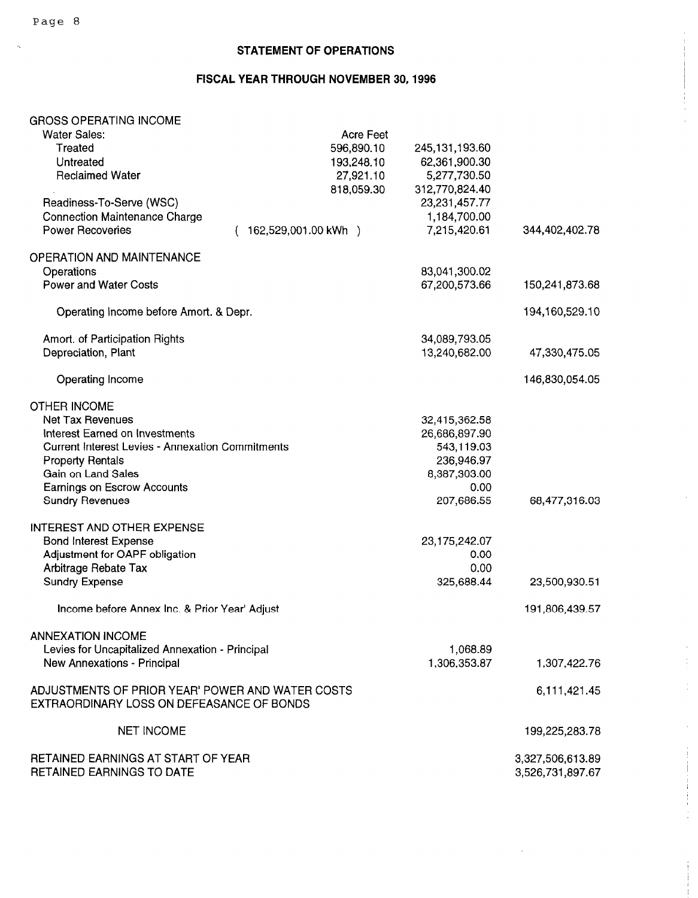### STATEMENT OF OPERATIONS

#### FISCAL YEAR THROUGH NOVEMBER 30,1996

### GROSS OPERATING INCOME

| <b>Water Sales:</b>                                     |                      | Acre Feet                 |                  |
|---------------------------------------------------------|----------------------|---------------------------|------------------|
| Treated                                                 | 596,890.10           | 245,131,193.60            |                  |
| Untreated                                               | 193,248.10           | 62,361,900.30             |                  |
| <b>Reclaimed Water</b>                                  |                      | 5,277,730.50<br>27,921.10 |                  |
|                                                         | 818,059.30           | 312,770,824.40            |                  |
| Readiness-To-Serve (WSC)                                |                      | 23,231,457.77             |                  |
| <b>Connection Maintenance Charge</b>                    |                      | 1,184,700.00              |                  |
| <b>Power Recoveries</b>                                 | 162,529,001.00 kWh ) | 7,215,420.61              | 344,402,402.78   |
|                                                         |                      |                           |                  |
| <b>OPERATION AND MAINTENANCE</b>                        |                      |                           |                  |
| Operations                                              |                      |                           |                  |
| <b>Power and Water Costs</b>                            |                      | 83,041,300.02             |                  |
|                                                         |                      | 67,200,573.66             | 150,241,873.68   |
| Operating Income before Amort. & Depr.                  |                      |                           | 194,160,529.10   |
|                                                         |                      |                           |                  |
| Amort. of Participation Rights                          |                      | 34,089,793.05             |                  |
| Depreciation, Plant                                     |                      | 13,240,682.00             | 47,330,475.05    |
| Operating Income                                        |                      |                           | 146,830,054.05   |
| <b>OTHER INCOME</b>                                     |                      |                           |                  |
| Net Tax Revenues                                        |                      | 32,415,362.58             |                  |
| Interest Earned on Investments                          |                      |                           |                  |
|                                                         |                      | 26,686,897.90             |                  |
| <b>Current Interest Levies - Annexation Commitments</b> |                      | 543,119.03                |                  |
| <b>Property Rentals</b>                                 |                      | 236,946.97                |                  |
| Gain on Land Sales                                      |                      | 8,387,303.00              |                  |
| Earnings on Escrow Accounts                             |                      | 0.00                      |                  |
| <b>Sundry Revenues</b>                                  |                      | 207,686.55                | 68,477,316.03    |
| INTEREST AND OTHER EXPENSE                              |                      |                           |                  |
| <b>Bond Interest Expense</b>                            |                      | 23,175,242.07             |                  |
| Adjustment for OAPF obligation                          |                      | 0.00                      |                  |
| Arbitrage Rebate Tax                                    |                      | 0.00                      |                  |
| <b>Sundry Expense</b>                                   |                      | 325,688.44                | 23,500,930.51    |
| Income before Annex Inc. & Prior Year' Adjust           |                      |                           | 191,806,439.57   |
|                                                         |                      |                           |                  |
| <b>ANNEXATION INCOME</b>                                |                      |                           |                  |
| Levies for Uncapitalized Annexation - Principal         |                      | 1,068.89                  |                  |
| New Annexations - Principal                             |                      | 1,306,353.87              | 1,307,422.76     |
| ADJUSTMENTS OF PRIOR YEAR' POWER AND WATER COSTS        |                      |                           | 6,111,421.45     |
| EXTRAORDINARY LOSS ON DEFEASANCE OF BONDS               |                      |                           |                  |
| <b>NET INCOME</b>                                       |                      |                           | 199,225,283.78   |
| RETAINED EARNINGS AT START OF YEAR                      |                      |                           | 3,327,506,613.89 |
| RETAINED EARNINGS TO DATE                               |                      |                           |                  |
|                                                         |                      |                           | 3,526,731,897.67 |

 $\hat{\boldsymbol{\theta}}$ 

 $\frac{1}{\mu}$ 

 $\frac{1}{4}$ 

 $\bar{z}$ 

 $\frac{1}{2}$  $\mathring{\mathring{+}}$ Ť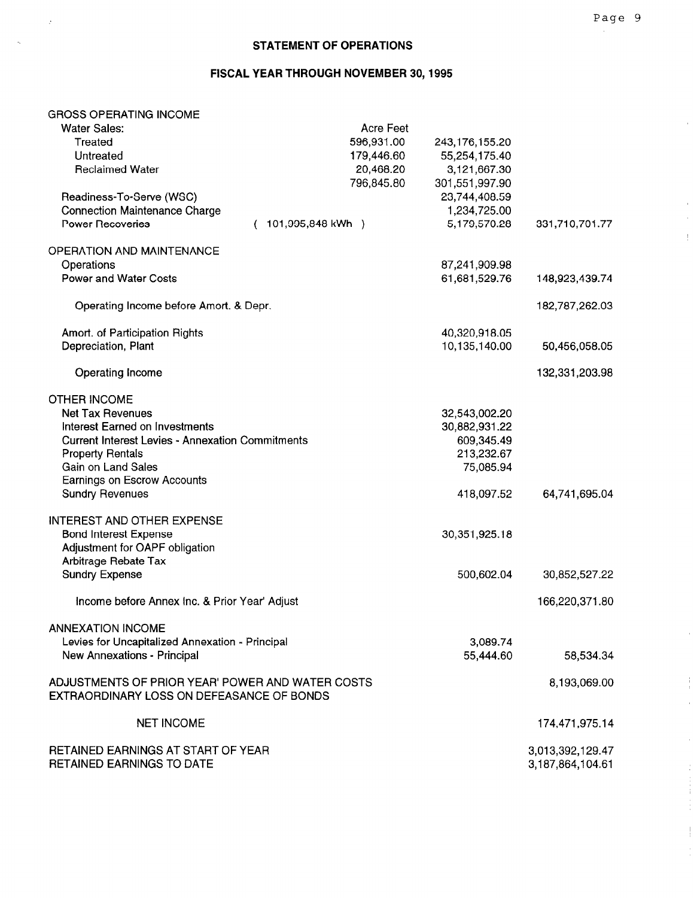$\overline{1}$  $\sim$  $\pm$ 

 $\sim$ 

ţ

 $\bar{\bar{z}}$ 

 $\sim$   $\sigma$ 

 $\lambda$ 

### FISCAL YEAR THROUGH NOVEMBER 30,1995

| <b>GROSS OPERATING INCOME</b>                           |                   |                |                  |
|---------------------------------------------------------|-------------------|----------------|------------------|
| <b>Water Sales:</b>                                     | <b>Acre Feet</b>  |                |                  |
| Treated                                                 | 596,931.00        | 243,176,155.20 |                  |
| Untreated                                               | 179,446.60        | 55,254,175.40  |                  |
| <b>Reclaimed Water</b>                                  | 20,468.20         | 3,121,667.30   |                  |
|                                                         | 796,845.80        | 301,551,997.90 |                  |
| Readiness-To-Serve (WSC)                                |                   | 23,744,408.59  |                  |
| <b>Connection Maintenance Charge</b>                    |                   | 1,234,725.00   |                  |
| <b>Power Recoveries</b>                                 | 101,995,848 kWh ) | 5,179,570.28   | 331,710,701.77   |
| <b>OPERATION AND MAINTENANCE</b>                        |                   |                |                  |
| Operations                                              |                   | 87,241,909.98  |                  |
| <b>Power and Water Costs</b>                            |                   | 61,681,529.76  | 148,923,439.74   |
| Operating Income before Amort. & Depr.                  |                   |                | 182,787,262.03   |
| Amort. of Participation Rights                          |                   | 40,320,918.05  |                  |
| Depreciation, Plant                                     |                   | 10,135,140.00  | 50,456,058.05    |
| Operating Income                                        |                   |                | 132,331,203.98   |
| <b>OTHER INCOME</b>                                     |                   |                |                  |
| <b>Net Tax Revenues</b>                                 |                   | 32,543,002.20  |                  |
| Interest Earned on Investments                          |                   | 30,882,931.22  |                  |
| <b>Current Interest Levies - Annexation Commitments</b> |                   | 609,345.49     |                  |
| <b>Property Rentals</b>                                 |                   | 213,232.67     |                  |
| Gain on Land Sales                                      |                   | 75,085.94      |                  |
|                                                         |                   |                |                  |
| Earnings on Escrow Accounts                             |                   |                |                  |
| <b>Sundry Revenues</b>                                  |                   | 418,097.52     | 64,741,695.04    |
| <b>INTEREST AND OTHER EXPENSE</b>                       |                   |                |                  |
| <b>Bond Interest Expense</b>                            |                   | 30,351,925.18  |                  |
| Adjustment for OAPF obligation                          |                   |                |                  |
| Arbitrage Rebate Tax                                    |                   |                |                  |
| <b>Sundry Expense</b>                                   |                   | 500,602.04     | 30,852,527.22    |
| Income before Annex Inc. & Prior Year' Adjust           |                   |                | 166,220,371.80   |
| <b>ANNEXATION INCOME</b>                                |                   |                |                  |
| Levies for Uncapitalized Annexation - Principal         |                   | 3,089.74       |                  |
| New Annexations - Principal                             |                   | 55,444.60      | 58,534.34        |
| ADJUSTMENTS OF PRIOR YEAR' POWER AND WATER COSTS        |                   |                | 8,193,069.00     |
| EXTRAORDINARY LOSS ON DEFEASANCE OF BONDS               |                   |                |                  |
| <b>NET INCOME</b>                                       |                   |                | 174,471,975.14   |
| RETAINED EARNINGS AT START OF YEAR                      |                   |                | 3,013,392,129.47 |
| RETAINED EARNINGS TO DATE                               |                   |                | 3,187,864,104.61 |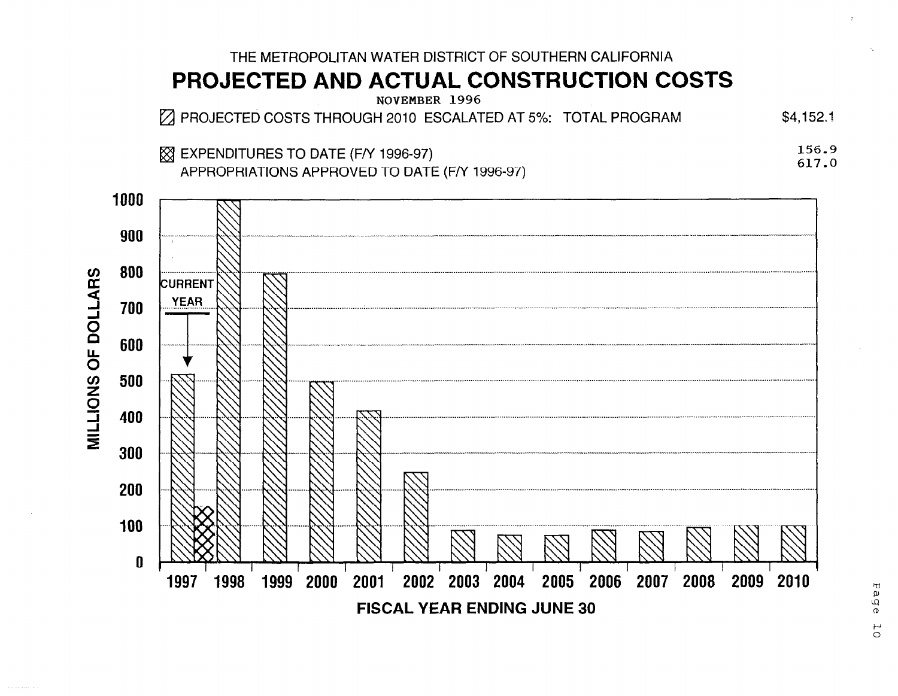## THE METROPOLITAN WATER DISTRICT OF SOUTHERN CALIFORNIA PROJECTED AND ACTUAL CONSTRUCTION COSTS



| <b>EXPENDITURES TO DATE (F/Y 1996-97)</b>     | 156.9 |
|-----------------------------------------------|-------|
| APPROPRIATIONS APPROVED TO DATE (F/Y 1996-97) | 617.0 |

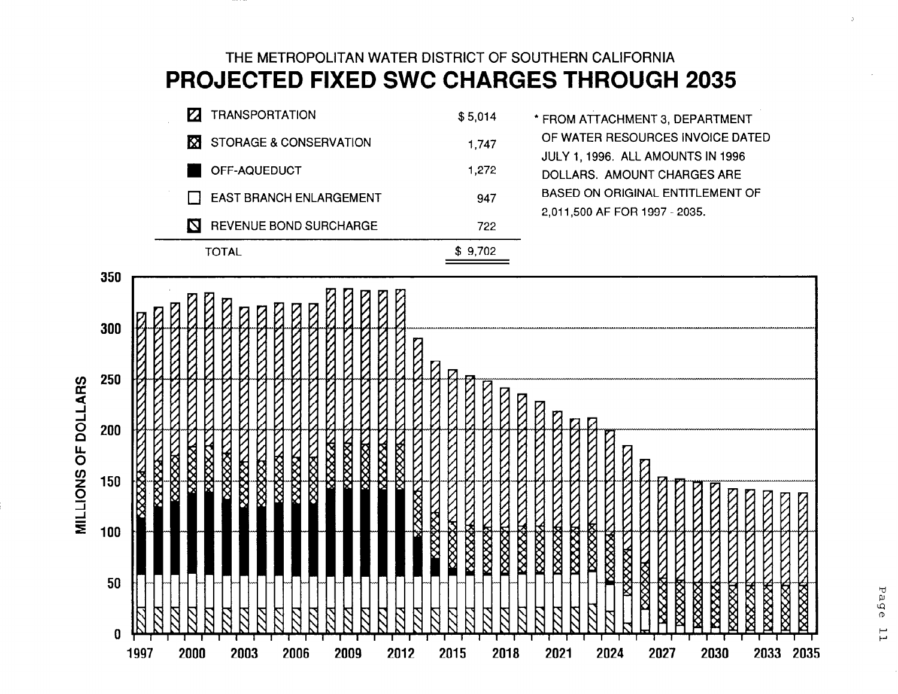## THE METROPOLITAN WATER DISTRICT OF SOUTHERN CALIFORNIA PROJECTED FIXED SWC CHARGES THROUGH 2035

| TRANSPORTATION                 | \$5,014 | * FROM ATTACHMENT 3, DEPARTMENT                                  |
|--------------------------------|---------|------------------------------------------------------------------|
| STORAGE & CONSERVATION         | 1,747   | OF WATER RESOURCES INVOICE DATED                                 |
| OFF-AQUEDUCT                   | 1,272   | JULY 1, 1996. ALL AMOUNTS IN 1996<br>DOLLARS. AMOUNT CHARGES ARE |
| <b>EAST BRANCH ENLARGEMENT</b> | 947     | BASED ON ORIGINAL ENTITLEMENT OF                                 |
| REVENUE BOND SURCHARGE<br>N    | 722     | 2,011,500 AF FOR 1997 - 2035.                                    |
| TOTAL                          | \$9,702 |                                                                  |

|                | 350        |        |      |        |                       |                             |      |          |     |               |            |        |               |             |       |       |      |      |                       |      |             |             |             |                |       |              |              |               |       |      |               |                        |              |               |       |               |              |        |               |       |
|----------------|------------|--------|------|--------|-----------------------|-----------------------------|------|----------|-----|---------------|------------|--------|---------------|-------------|-------|-------|------|------|-----------------------|------|-------------|-------------|-------------|----------------|-------|--------------|--------------|---------------|-------|------|---------------|------------------------|--------------|---------------|-------|---------------|--------------|--------|---------------|-------|
|                | 300        |        |      |        |                       |                             |      |          |     |               |            |        |               |             |       |       |      |      |                       |      |             |             |             |                |       |              |              |               |       |      |               |                        |              |               |       |               |              |        |               |       |
| アロコフリフ         | 250        |        |      |        |                       |                             |      |          |     |               |            |        |               |             |       |       |      |      |                       |      |             |             |             |                |       |              |              |               |       |      |               |                        |              |               |       |               |              |        |               |       |
|                | 200<br>150 |        | XXXX | 888888 | $\boldsymbol{\Sigma}$ | $\boldsymbol{\mathrm{XXZ}}$ | XXXX | <b>R</b> | XXX | $\frac{1}{2}$ | $\times 5$ | XXX    | $\frac{1}{2}$ | <b>XXXX</b> | XXXXI | 22222 | 双双   |      |                       |      |             |             |             |                |       |              |              |               |       |      |               |                        |              |               |       |               |              |        |               |       |
| <b>AILTING</b> | 100        | XXXXXX |      |        |                       | K                           | В    | XXX      | KXX | 88            | Ķ          | K<br>K |               |             |       |       |      | XXXX | <b>RRA</b>            | б    | ₿           |             |             |                |       |              |              |               |       |      |               |                        |              |               |       |               |              |        |               |       |
|                | 50         |        |      |        |                       |                             |      |          |     |               |            |        |               |             |       |       |      |      | $\boldsymbol{\Sigma}$ |      | <b>EXXX</b> | <b>EXXX</b> | <b>EXXX</b> | <b>BSSSSSS</b> | KXXXX | <b>EXXXX</b> | <b>EXXXX</b> | <b>BXXXXX</b> | XXXXX | XXXX | <b>EXXXXX</b> |                        |              |               |       |               |              |        |               |       |
|                | Π          |        |      |        |                       |                             |      |          |     |               |            |        |               |             |       |       |      |      |                       |      |             |             |             |                |       |              |              |               |       |      |               | $\mathbf{X}\mathbf{X}$ | <b>XXXXX</b> | $\frac{1}{2}$ | XXXXX | $\frac{1}{2}$ | <b>XXXXX</b> | 888888 | $\frac{1}{2}$ | XXXXX |
|                |            | 1997   |      |        | 2000                  |                             |      | 2003     |     |               | 2006       |        |               | 2009        |       |       | 2012 |      |                       | 2015 |             |             | 2018        |                |       | 2021         |              |               | 2024  |      |               | 2027                   |              |               | 2030  |               |              | 2033   |               | 2035  |

Page

 $\overline{\phantom{0}}$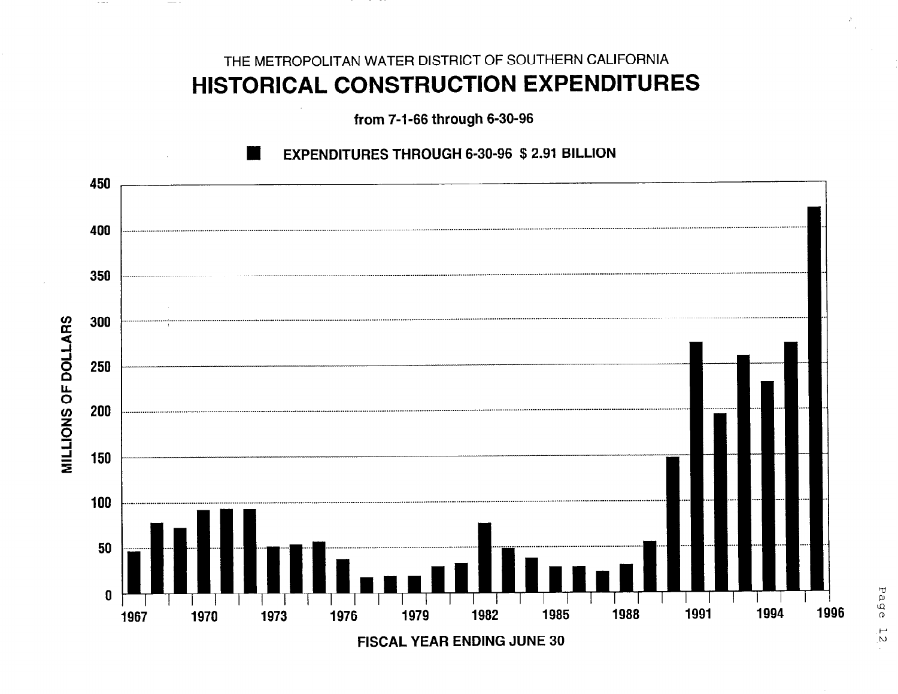# THE METROPOLITAN WATER DISTRICT OF SOUTHERN CALIFORNIA HISTORICAL CONSTRUCTION EXPENDITURES

from 7-l-66 through 6-30-96



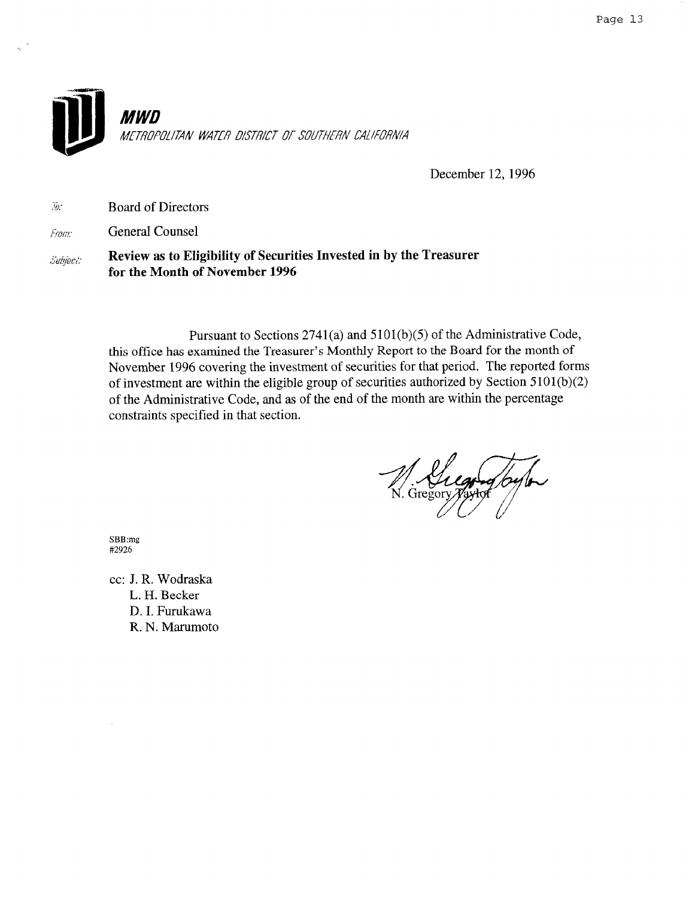

December 12, 1996

 $\bar{y}$ Board of Directors

General Counsel Fram:

#### Review as to Eligibility of Securities Invested in by the Treasurer Subject: for the Month of November 1996

Pursuant to Sections 2741(a) and 5101(b)(5) of the Administrative Code, this office has examined the Treasurer's Monthly Report to the Board for the month of November 1996 covering the investment of securities for that period. The reported forms of investment are within the eligible group of securities authorized by Section 5101(b)(2) of the Administrative Code, and as of the end of the month are within the percentage constraints specified in that section.

N. Gregory Haylor

SBB:mg #2926

cc: J. R. Wodraska L. H. Becker D. I. Furukawa R. N. Marumoto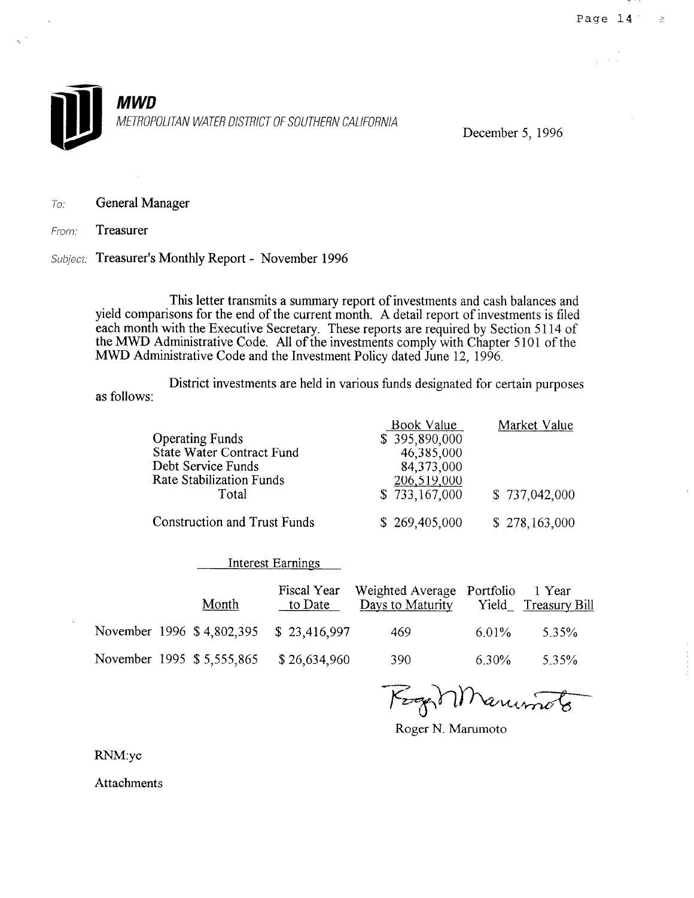.~.



December 5, 1996

To: General Manager

From: Treasurer

Subject: Treasurer's Monthly Report - November 1996

This letter transmits a summary report of investments and cash balances and yield comparisons for the end of the current month. A detail report of investments is tiled each month with the Executive Secretary. the MWD Administrative Code. These reports are required by Section 5114 of All of the investments comply with Chapter 5101 of the MWD Administrative Code and the Investment Policy dated June 12, 1996.

as follows: District investments are held in various funds designated for certain purposes

| <b>Operating Funds</b><br><b>State Water Contract Fund</b><br>Debt Service Funds<br>Rate Stabilization Funds<br>Total | Book Value<br>\$395,890,000<br>46,385,000<br>84,373,000<br>206,519,000<br>\$733,167,000 | Market Value<br>\$737,042,000 |
|-----------------------------------------------------------------------------------------------------------------------|-----------------------------------------------------------------------------------------|-------------------------------|
| <b>Construction and Trust Funds</b>                                                                                   | \$269,405,000                                                                           | \$278,163,000                 |

|  |                           | <b>Interest Earnings</b>               |                                                                           |       |         |
|--|---------------------------|----------------------------------------|---------------------------------------------------------------------------|-------|---------|
|  | Month                     | Fiscal Year<br>t <u>o Date</u>         | Weighted Average Portfolio 1 Year<br>Days to Maturity Yield Treasury Bill |       |         |
|  |                           | November 1996 \$4,802,395 \$23,416,997 | 469                                                                       | 6.01% | 5 3 5 % |
|  | November 1995 \$5,555,865 | \$26,634,960                           | 390                                                                       | 6.30% | 5.35%   |

Kzzy Mran animoto

RNM:yc

Attachments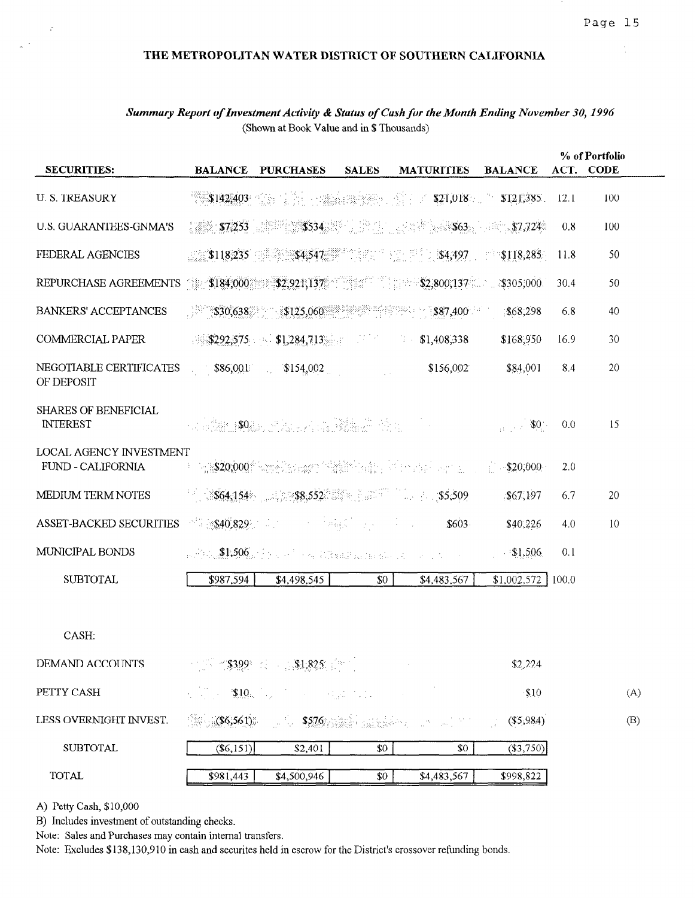|                                                          |                   | (DIOWII at DOOK Y after and III & THOUSANDS)                                                                                                                                                                                             |                   |                                                                                                                                                                                                                                                                                                                                                                                                                                                                                       |                |       |                             |
|----------------------------------------------------------|-------------------|------------------------------------------------------------------------------------------------------------------------------------------------------------------------------------------------------------------------------------------|-------------------|---------------------------------------------------------------------------------------------------------------------------------------------------------------------------------------------------------------------------------------------------------------------------------------------------------------------------------------------------------------------------------------------------------------------------------------------------------------------------------------|----------------|-------|-----------------------------|
| <b>SECURITIES:</b>                                       |                   | <b>BALANCE PURCHASES</b>                                                                                                                                                                                                                 | <b>SALES</b>      | <b>MATURITIES</b>                                                                                                                                                                                                                                                                                                                                                                                                                                                                     | <b>BALANCE</b> |       | % of Portfolio<br>ACT. CODE |
| <b>U. S. TREASURY</b>                                    |                   |                                                                                                                                                                                                                                          |                   | $$142.403$ $$12.385$                                                                                                                                                                                                                                                                                                                                                                                                                                                                  |                | 12.1  | 100                         |
| U.S. GUARANTEES-GNMA'S                                   |                   |                                                                                                                                                                                                                                          |                   | $$7.725$ $$534.77$ $$534.77$ $$534.7724$                                                                                                                                                                                                                                                                                                                                                                                                                                              |                | 0.8   | 100                         |
| FEDERAL AGENCIES                                         |                   |                                                                                                                                                                                                                                          |                   | $$118,235$ $$4,547$ $$118,235$                                                                                                                                                                                                                                                                                                                                                                                                                                                        | \$118,285      | 11.8  | 50                          |
| REPURCHASE AGREEMENTS                                    |                   |                                                                                                                                                                                                                                          |                   | $\frac{1}{2}$ \$184,000 $\frac{1}{2}$ \$2,921,137 $\frac{1}{2}$ $\frac{1}{2}$ $\frac{1}{2}$ $\frac{1}{2}$ $\frac{1}{2}$ $\frac{1}{2}$ $\frac{1}{2}$ $\frac{1}{2}$ $\frac{1}{2}$ $\frac{1}{2}$ $\frac{1}{2}$ $\frac{1}{2}$ $\frac{1}{2}$ $\frac{1}{2}$ $\frac{1}{2}$ $\frac{1}{2}$ $\frac{1}{2}$ $\frac{1}{2}$                                                                                                                                                                         |                | 30.4  | 50                          |
| <b>BANKERS' ACCEPTANCES</b>                              |                   |                                                                                                                                                                                                                                          |                   | $$30,638$ $$125,060$ $$87,400$                                                                                                                                                                                                                                                                                                                                                                                                                                                        | \$68,298       | 6.8   | 40                          |
| <b>COMMERCIAL PAPER</b>                                  |                   |                                                                                                                                                                                                                                          |                   | $$292,575$ $$1,284,713$ $$1,284,713$                                                                                                                                                                                                                                                                                                                                                                                                                                                  | \$168,950      | 16.9  | 30                          |
| NEGOTIABLE CERTIFICATES \$86,001 \$154,002<br>OF DEPOSIT |                   |                                                                                                                                                                                                                                          |                   | \$156,002                                                                                                                                                                                                                                                                                                                                                                                                                                                                             | \$84,001       | 8.4   | 20                          |
| <b>SHARES OF BENEFICIAL</b><br><b>INTEREST</b>           |                   | 化高温性 \$0.5万元,不是最多是一个人的人。                                                                                                                                                                                                                 |                   |                                                                                                                                                                                                                                                                                                                                                                                                                                                                                       | $\sim 80$ .    | 0.0   | 15                          |
| LOCAL AGENCY INVESTMENT<br>FUND - CALIFORNIA             |                   |                                                                                                                                                                                                                                          |                   | $\mathbb{E}\left[\mathbb{E}\left[\mathbf{320,000}\right]^{\circ}\right] \leq \mathbb{E}\left[\mathbb{E}\left[\mathbb{E}\left[\mathbf{320,000}\right]^{\circ}\right]\right] \leq \mathbb{E}\left[\mathbb{E}\left[\mathbf{320,000}\right]^{\circ}\right] \leq \mathbb{E}\left[\mathbb{E}\left[\mathbf{320,000}\right]^{\circ}\right] \leq \mathbb{E}\left[\mathbb{E}\left[\mathbf{320,000}\right]^{\circ}\right] \leq \mathbb{E}\left[\mathbb{E}\left[\mathbf{320,000}\right]^{\circ}\$ |                | 2.0   |                             |
| MEDIUM TERM NOTES                                        |                   |                                                                                                                                                                                                                                          |                   | <b>1.</b> $$64.154$ $$8.552$ $$1.11$ $$5.509$                                                                                                                                                                                                                                                                                                                                                                                                                                         | \$67,197       | 6.7   | 20                          |
| ASSET-BACKED SECURITIES                                  | \$40,829          | Ŵ.                                                                                                                                                                                                                                       |                   | \$603                                                                                                                                                                                                                                                                                                                                                                                                                                                                                 | \$40,226       | 4.0   | 10                          |
| MUNICIPAL BONDS                                          |                   | with the $\mathbb{S}1$ , $\mathbb{S}0$ $\mathbb{S}$ and the contribution of the contribution of the contribution of the contribution of the contribution of the contribution of the contribution of the contribution of the contribution |                   |                                                                                                                                                                                                                                                                                                                                                                                                                                                                                       | \$1,506        | 0.1   |                             |
| <b>SUBTOTAL</b>                                          | \$987,594         | \$4,498,545                                                                                                                                                                                                                              | \$0               | \$4,483,567                                                                                                                                                                                                                                                                                                                                                                                                                                                                           | \$1,002,572    | 100.0 |                             |
| CASH:                                                    |                   |                                                                                                                                                                                                                                          |                   |                                                                                                                                                                                                                                                                                                                                                                                                                                                                                       |                |       |                             |
| DEMAND ACCOUNTS                                          |                   |                                                                                                                                                                                                                                          |                   |                                                                                                                                                                                                                                                                                                                                                                                                                                                                                       | \$2,224        |       |                             |
| PETTY CASH                                               | \$10 <sub>1</sub> |                                                                                                                                                                                                                                          | Report Follows    |                                                                                                                                                                                                                                                                                                                                                                                                                                                                                       | \$10           |       | (A)                         |
| LESS OVERNIGHT INVEST.                                   | $$(\$6,561)$      |                                                                                                                                                                                                                                          | $$576$ and $$576$ |                                                                                                                                                                                                                                                                                                                                                                                                                                                                                       | $(\$5,984)$    |       | (B)                         |
| <b>SUBTOTAL</b>                                          | $(\$6,151)$       | \$2,401                                                                                                                                                                                                                                  | \$0               | \$0                                                                                                                                                                                                                                                                                                                                                                                                                                                                                   | $(\$3,750)$    |       |                             |
| <b>TOTAL</b>                                             | \$981,443         | $\sqrt{4,500,946}$                                                                                                                                                                                                                       | \$0               | \$4,483,567                                                                                                                                                                                                                                                                                                                                                                                                                                                                           | \$998,822      |       |                             |

#### Summary Report of Investment Activity & Status of Cash for the Month Ending November 30, 1996 (Shown at Book Value and in \$ Thousands)

A) Petty Cash, \$10,000

Ż

B) Includes investment of outstanding checks.

Note: Sales and Purchases may contain internal transfers.

Note: Excludes \$138,130,910 in cash and securites held in escrow for the District's crossover refunding bonds.